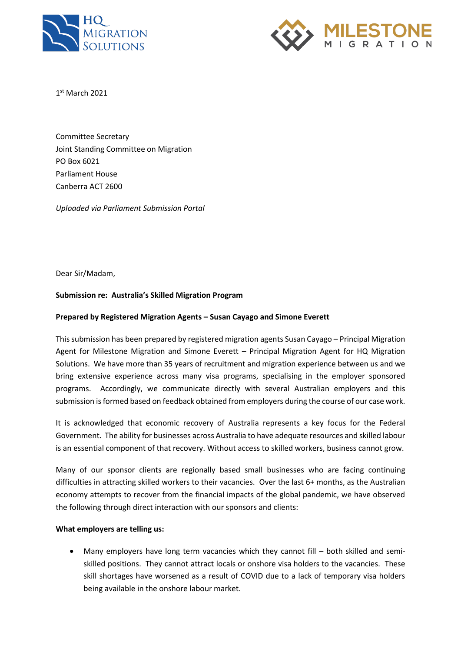



1 st March 2021

Committee Secretary Joint Standing Committee on Migration PO Box 6021 Parliament House Canberra ACT 2600

*Uploaded via Parliament Submission Portal*

Dear Sir/Madam,

### **Submission re: Australia's Skilled Migration Program**

#### **Prepared by Registered Migration Agents – Susan Cayago and Simone Everett**

This submission has been prepared by registered migration agents Susan Cayago – Principal Migration Agent for Milestone Migration and Simone Everett – Principal Migration Agent for HQ Migration Solutions. We have more than 35 years of recruitment and migration experience between us and we bring extensive experience across many visa programs, specialising in the employer sponsored programs. Accordingly, we communicate directly with several Australian employers and this submission is formed based on feedback obtained from employers during the course of our case work.

It is acknowledged that economic recovery of Australia represents a key focus for the Federal Government. The ability for businesses across Australia to have adequate resources and skilled labour is an essential component of that recovery. Without access to skilled workers, business cannot grow.

Many of our sponsor clients are regionally based small businesses who are facing continuing difficulties in attracting skilled workers to their vacancies. Over the last 6+ months, as the Australian economy attempts to recover from the financial impacts of the global pandemic, we have observed the following through direct interaction with our sponsors and clients:

#### **What employers are telling us:**

• Many employers have long term vacancies which they cannot fill – both skilled and semiskilled positions. They cannot attract locals or onshore visa holders to the vacancies. These skill shortages have worsened as a result of COVID due to a lack of temporary visa holders being available in the onshore labour market.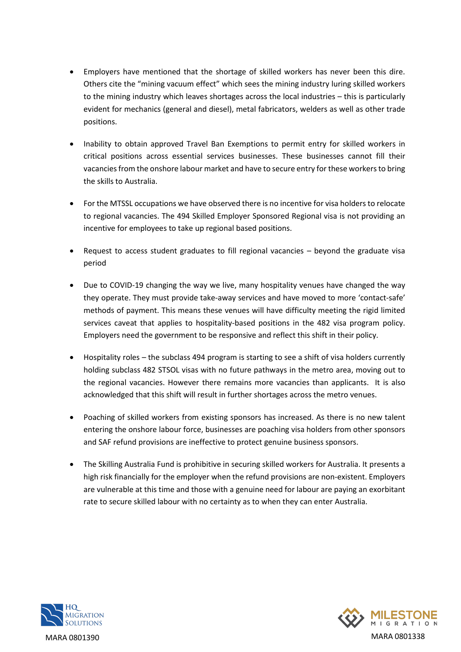- Employers have mentioned that the shortage of skilled workers has never been this dire. Others cite the "mining vacuum effect" which sees the mining industry luring skilled workers to the mining industry which leaves shortages across the local industries – this is particularly evident for mechanics (general and diesel), metal fabricators, welders as well as other trade positions.
- Inability to obtain approved Travel Ban Exemptions to permit entry for skilled workers in critical positions across essential services businesses. These businesses cannot fill their vacancies from the onshore labour market and have to secure entry for these workers to bring the skills to Australia.
- For the MTSSL occupations we have observed there is no incentive for visa holders to relocate to regional vacancies. The 494 Skilled Employer Sponsored Regional visa is not providing an incentive for employees to take up regional based positions.
- Request to access student graduates to fill regional vacancies beyond the graduate visa period
- Due to COVID-19 changing the way we live, many hospitality venues have changed the way they operate. They must provide take-away services and have moved to more 'contact-safe' methods of payment. This means these venues will have difficulty meeting the rigid limited services caveat that applies to hospitality-based positions in the 482 visa program policy. Employers need the government to be responsive and reflect this shift in their policy.
- Hospitality roles the subclass 494 program is starting to see a shift of visa holders currently holding subclass 482 STSOL visas with no future pathways in the metro area, moving out to the regional vacancies. However there remains more vacancies than applicants. It is also acknowledged that this shift will result in further shortages across the metro venues.
- Poaching of skilled workers from existing sponsors has increased. As there is no new talent entering the onshore labour force, businesses are poaching visa holders from other sponsors and SAF refund provisions are ineffective to protect genuine business sponsors.
- The Skilling Australia Fund is prohibitive in securing skilled workers for Australia. It presents a high risk financially for the employer when the refund provisions are non-existent. Employers are vulnerable at this time and those with a genuine need for labour are paying an exorbitant rate to secure skilled labour with no certainty as to when they can enter Australia.



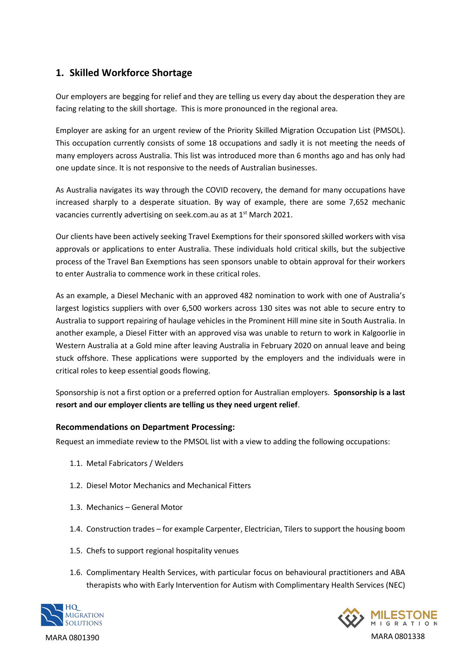# **1. Skilled Workforce Shortage**

Our employers are begging for relief and they are telling us every day about the desperation they are facing relating to the skill shortage. This is more pronounced in the regional area.

Employer are asking for an urgent review of the Priority Skilled Migration Occupation List (PMSOL). This occupation currently consists of some 18 occupations and sadly it is not meeting the needs of many employers across Australia. This list was introduced more than 6 months ago and has only had one update since. It is not responsive to the needs of Australian businesses.

As Australia navigates its way through the COVID recovery, the demand for many occupations have increased sharply to a desperate situation. By way of example, there are some 7,652 mechanic vacancies currently advertising on seek.com.au as at 1<sup>st</sup> March 2021.

Our clients have been actively seeking Travel Exemptions for their sponsored skilled workers with visa approvals or applications to enter Australia. These individuals hold critical skills, but the subjective process of the Travel Ban Exemptions has seen sponsors unable to obtain approval for their workers to enter Australia to commence work in these critical roles.

As an example, a Diesel Mechanic with an approved 482 nomination to work with one of Australia's largest logistics suppliers with over 6,500 workers across 130 sites was not able to secure entry to Australia to support repairing of haulage vehicles in the Prominent Hill mine site in South Australia. In another example, a Diesel Fitter with an approved visa was unable to return to work in Kalgoorlie in Western Australia at a Gold mine after leaving Australia in February 2020 on annual leave and being stuck offshore. These applications were supported by the employers and the individuals were in critical roles to keep essential goods flowing.

Sponsorship is not a first option or a preferred option for Australian employers. **Sponsorship is a last resort and our employer clients are telling us they need urgent relief**.

### **Recommendations on Department Processing:**

Request an immediate review to the PMSOL list with a view to adding the following occupations:

- 1.1. Metal Fabricators / Welders
- 1.2. Diesel Motor Mechanics and Mechanical Fitters
- 1.3. Mechanics General Motor
- 1.4. Construction trades for example Carpenter, Electrician, Tilers to support the housing boom
- 1.5. Chefs to support regional hospitality venues
- 1.6. Complimentary Health Services, with particular focus on behavioural practitioners and ABA therapists who with Early Intervention for Autism with Complimentary Health Services (NEC)



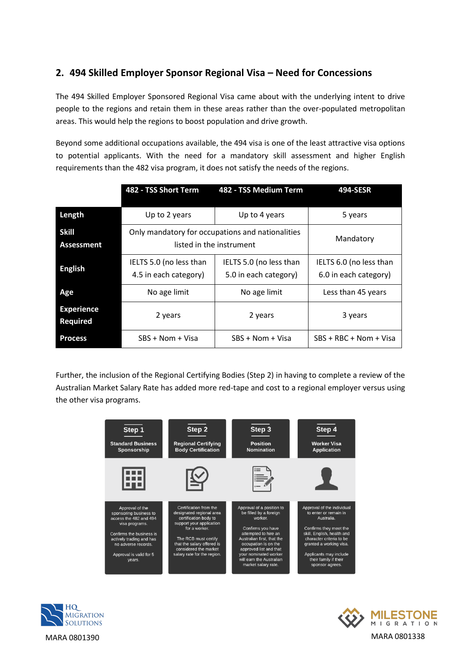# **2. 494 Skilled Employer Sponsor Regional Visa – Need for Concessions**

The 494 Skilled Employer Sponsored Regional Visa came about with the underlying intent to drive people to the regions and retain them in these areas rather than the over-populated metropolitan areas. This would help the regions to boost population and drive growth.

Beyond some additional occupations available, the 494 visa is one of the least attractive visa options to potential applicants. With the need for a mandatory skill assessment and higher English requirements than the 482 visa program, it does not satisfy the needs of the regions.

|                                      | 482 - TSS Short Term                                                         | 482 - TSS Medium Term                            | 494-SESR                                         |
|--------------------------------------|------------------------------------------------------------------------------|--------------------------------------------------|--------------------------------------------------|
| Length                               | Up to 2 years                                                                | Up to 4 years                                    | 5 years                                          |
| <b>Skill</b><br><b>Assessment</b>    | Only mandatory for occupations and nationalities<br>listed in the instrument |                                                  | Mandatory                                        |
| <b>English</b>                       | IELTS 5.0 (no less than<br>4.5 in each category)                             | IELTS 5.0 (no less than<br>5.0 in each category) | IELTS 6.0 (no less than<br>6.0 in each category) |
| Age                                  | No age limit                                                                 | No age limit                                     | Less than 45 years                               |
| <b>Experience</b><br><b>Required</b> | 2 years                                                                      | 2 years                                          | 3 years                                          |
| <b>Process</b>                       | SBS + Nom + Visa                                                             | $SBS + Nom + Visa$                               | $SBS + RBC + Nom + Visa$                         |

Further, the inclusion of the Regional Certifying Bodies (Step 2) in having to complete a review of the Australian Market Salary Rate has added more red-tape and cost to a regional employer versus using the other visa programs.





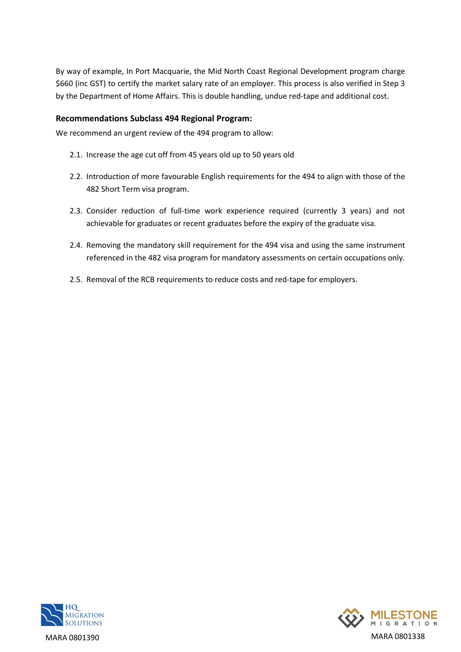By way of example, In Port Macquarie, the Mid North Coast Regional Development program charge \$660 (inc GST) to certify the market salary rate of an employer. This process is also verified in Step 3 by the Department of Home Affairs. This is double handling, undue red-tape and additional cost.

### **Recommendations Subclass 494 Regional Program:**

We recommend an urgent review of the 494 program to allow:

- 2.1. Increase the age cut off from 45 years old up to 50 years old
- 2.2. Introduction of more favourable English requirements for the 494 to align with those of the 482 Short Term visa program.
- 2.3. Consider reduction of full-time work experience required (currently 3 years) and not achievable for graduates or recent graduates before the expiry of the graduate visa.
- 2.4. Removing the mandatory skill requirement for the 494 visa and using the same instrument referenced in the 482 visa program for mandatory assessments on certain occupations only.
- 2.5. Removal of the RCB requirements to reduce costs and red-tape for employers.



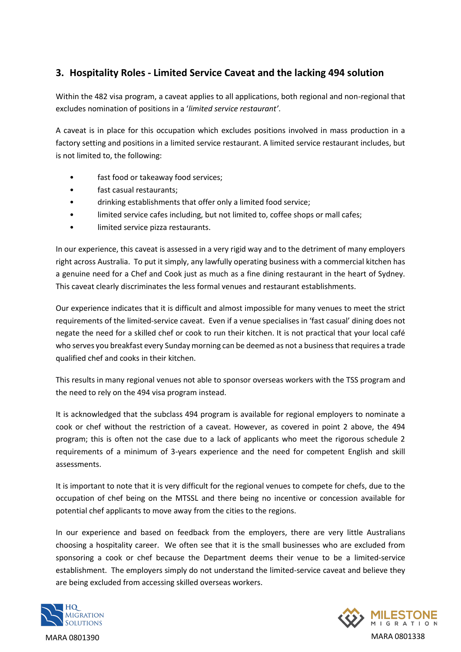# **3. Hospitality Roles - Limited Service Caveat and the lacking 494 solution**

Within the 482 visa program, a caveat applies to all applications, both regional and non-regional that excludes nomination of positions in a '*limited service restaurant'*.

A caveat is in place for this occupation which excludes positions involved in mass production in a factory setting and positions in a limited service restaurant. A limited service restaurant includes, but is not limited to, the following:

- fast food or takeaway food services;
- fast casual restaurants;
- drinking establishments that offer only a limited food service;
- limited service cafes including, but not limited to, coffee shops or mall cafes;
- limited service pizza restaurants.

In our experience, this caveat is assessed in a very rigid way and to the detriment of many employers right across Australia. To put it simply, any lawfully operating business with a commercial kitchen has a genuine need for a Chef and Cook just as much as a fine dining restaurant in the heart of Sydney. This caveat clearly discriminates the less formal venues and restaurant establishments.

Our experience indicates that it is difficult and almost impossible for many venues to meet the strict requirements of the limited-service caveat. Even if a venue specialises in 'fast casual' dining does not negate the need for a skilled chef or cook to run their kitchen. It is not practical that your local café who serves you breakfast every Sunday morning can be deemed as not a business that requires a trade qualified chef and cooks in their kitchen.

This results in many regional venues not able to sponsor overseas workers with the TSS program and the need to rely on the 494 visa program instead.

It is acknowledged that the subclass 494 program is available for regional employers to nominate a cook or chef without the restriction of a caveat. However, as covered in point 2 above, the 494 program; this is often not the case due to a lack of applicants who meet the rigorous schedule 2 requirements of a minimum of 3-years experience and the need for competent English and skill assessments.

It is important to note that it is very difficult for the regional venues to compete for chefs, due to the occupation of chef being on the MTSSL and there being no incentive or concession available for potential chef applicants to move away from the cities to the regions.

In our experience and based on feedback from the employers, there are very little Australians choosing a hospitality career. We often see that it is the small businesses who are excluded from sponsoring a cook or chef because the Department deems their venue to be a limited-service establishment. The employers simply do not understand the limited-service caveat and believe they are being excluded from accessing skilled overseas workers.



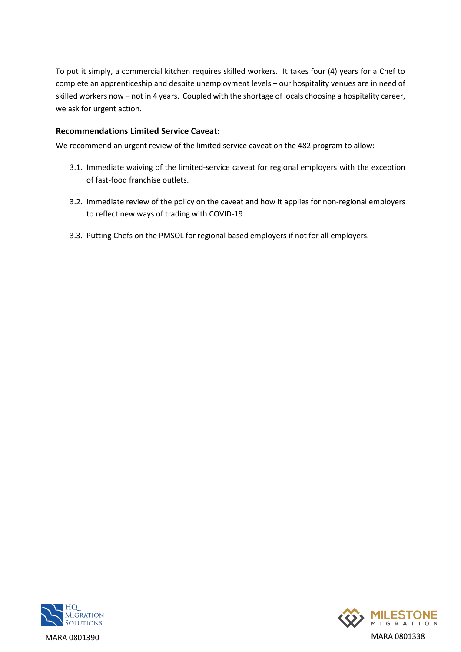To put it simply, a commercial kitchen requires skilled workers. It takes four (4) years for a Chef to complete an apprenticeship and despite unemployment levels – our hospitality venues are in need of skilled workers now – not in 4 years. Coupled with the shortage of locals choosing a hospitality career, we ask for urgent action.

### **Recommendations Limited Service Caveat:**

We recommend an urgent review of the limited service caveat on the 482 program to allow:

- 3.1. Immediate waiving of the limited-service caveat for regional employers with the exception of fast-food franchise outlets.
- 3.2. Immediate review of the policy on the caveat and how it applies for non-regional employers to reflect new ways of trading with COVID-19.
- 3.3. Putting Chefs on the PMSOL for regional based employers if not for all employers.



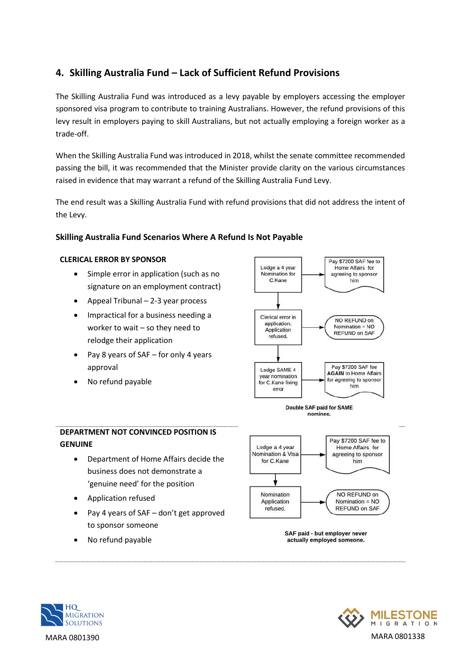# **4. Skilling Australia Fund – Lack of Sufficient Refund Provisions**

The Skilling Australia Fund was introduced as a levy payable by employers accessing the employer sponsored visa program to contribute to training Australians. However, the refund provisions of this levy result in employers paying to skill Australians, but not actually employing a foreign worker as a trade-off.

When the Skilling Australia Fund was introduced in 2018, whilst the senate committee recommended passing the bill, it was recommended that the Minister provide clarity on the various circumstances raised in evidence that may warrant a refund of the Skilling Australia Fund Levy.

The end result was a Skilling Australia Fund with refund provisions that did not address the intent of the Levy.

### **Skilling Australia Fund Scenarios Where A Refund Is Not Payable**

### **CLERICAL ERROR BY SPONSOR**

- Simple error in application (such as no signature on an employment contract)
- Appeal Tribunal 2-3 year process
- Impractical for a business needing a worker to wait – so they need to relodge their application
- Pay 8 years of SAF for only 4 years approval
- No refund payable





## **DEPARTMENT NOT CONVINCED POSITION IS GENUINE**

- Department of Home Affairs decide the business does not demonstrate a 'genuine need' for the position
- Application refused
- Pay 4 years of SAF don't get approved to sponsor someone
- No refund payable



SAF paid - but employer never actually employed someone.



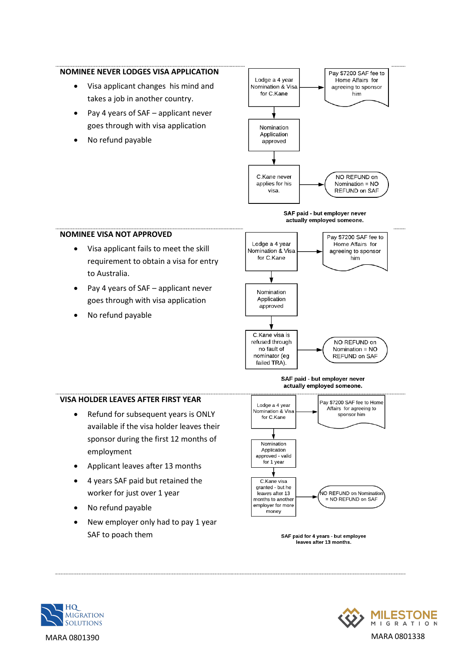### **NOMINEE NEVER LODGES VISA APPLICATION**

- Visa applicant changes his mind and takes a job in another country.
- Pay 4 years of SAF applicant never goes through with visa application
- No refund payable



#### SAF paid - but employer never actually employed someone.

### **NOMINEE VISA NOT APPROVED**

- Visa applicant fails to meet the skill requirement to obtain a visa for entry to Australia.
- Pay 4 years of SAF applicant never goes through with visa application
- No refund payable



#### SAF paid - but employer never actually employed someone.

### **VISA HOLDER LEAVES AFTER FIRST YEAR**

- Refund for subsequent years is ONLY available if the visa holder leaves their sponsor during the first 12 months of employment
- Applicant leaves after 13 months
- 4 years SAF paid but retained the worker for just over 1 year
- No refund payable
- New employer only had to pay 1 year SAF to poach them







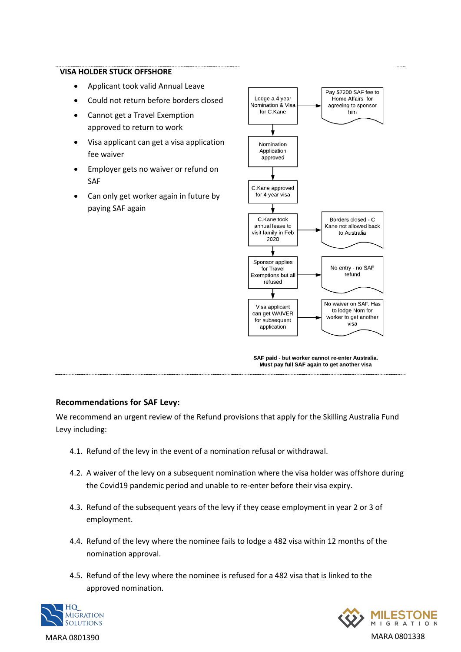#### **VISA HOLDER STUCK OFFSHORE**

- Applicant took valid Annual Leave
- Could not return before borders closed
- Cannot get a Travel Exemption approved to return to work
- Visa applicant can get a visa application fee waiver
- Employer gets no waiver or refund on SAF
- Can only get worker again in future by paying SAF again



SAF paid - but worker cannot re-enter Australia. Must pay full SAF again to get another visa

### **Recommendations for SAF Levy:**

We recommend an urgent review of the Refund provisions that apply for the Skilling Australia Fund Levy including:

- 4.1. Refund of the levy in the event of a nomination refusal or withdrawal.
- 4.2. A waiver of the levy on a subsequent nomination where the visa holder was offshore during the Covid19 pandemic period and unable to re-enter before their visa expiry.
- 4.3. Refund of the subsequent years of the levy if they cease employment in year 2 or 3 of employment.
- 4.4. Refund of the levy where the nominee fails to lodge a 482 visa within 12 months of the nomination approval.
- 4.5. Refund of the levy where the nominee is refused for a 482 visa that is linked to the approved nomination.



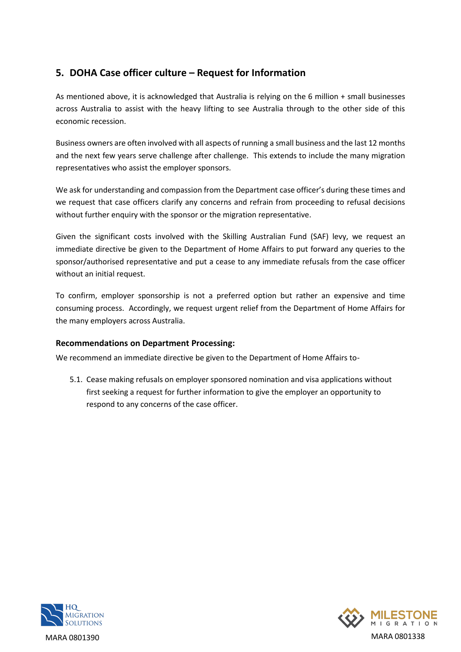# **5. DOHA Case officer culture – Request for Information**

As mentioned above, it is acknowledged that Australia is relying on the 6 million + small businesses across Australia to assist with the heavy lifting to see Australia through to the other side of this economic recession.

Business owners are often involved with all aspects of running a small business and the last 12 months and the next few years serve challenge after challenge. This extends to include the many migration representatives who assist the employer sponsors.

We ask for understanding and compassion from the Department case officer's during these times and we request that case officers clarify any concerns and refrain from proceeding to refusal decisions without further enquiry with the sponsor or the migration representative.

Given the significant costs involved with the Skilling Australian Fund (SAF) levy, we request an immediate directive be given to the Department of Home Affairs to put forward any queries to the sponsor/authorised representative and put a cease to any immediate refusals from the case officer without an initial request.

To confirm, employer sponsorship is not a preferred option but rather an expensive and time consuming process. Accordingly, we request urgent relief from the Department of Home Affairs for the many employers across Australia.

### **Recommendations on Department Processing:**

We recommend an immediate directive be given to the Department of Home Affairs to-

5.1. Cease making refusals on employer sponsored nomination and visa applications without first seeking a request for further information to give the employer an opportunity to respond to any concerns of the case officer.